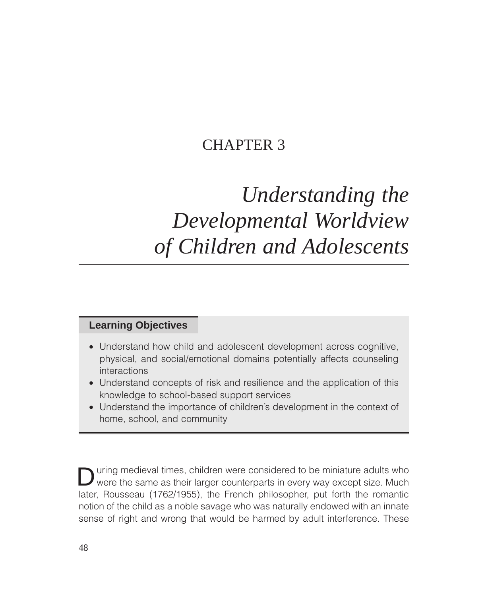## CHAPTER 3

# *Understanding the Developmental Worldview of Children and Adolescents*

## **Learning Objectives**

- Understand how child and adolescent development across cognitive, physical, and social/emotional domains potentially affects counseling interactions
- Understand concepts of risk and resilience and the application of this knowledge to school-based support services
- Understand the importance of children's development in the context of home, school, and community

uring medieval times, children were considered to be miniature adults who were the same as their larger counterparts in every way except size. Much later, Rousseau (1762/1955), the French philosopher, put forth the romantic notion of the child as a noble savage who was naturally endowed with an innate sense of right and wrong that would be harmed by adult interference. These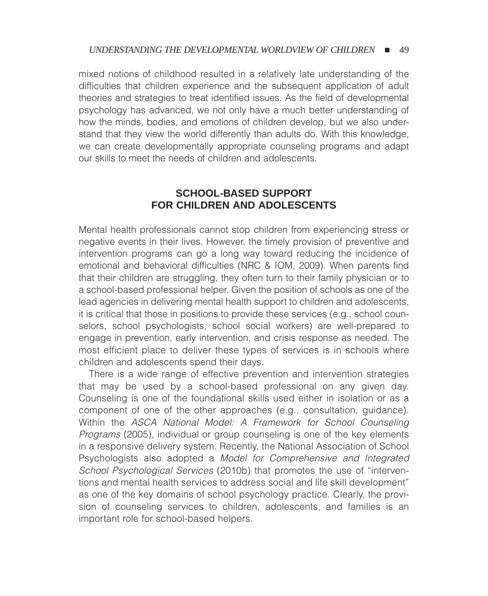mixed notions of childhood resulted in a relatively late understanding of the difficulties that children experience and the subsequent application of adult theories and strategies to treat identified issues. As the field of developmental psychology has advanced, we not only have a much better understanding of how the minds, bodies, and emotions of children develop, but we also understand that they view the world differently than adults do. With this knowledge, we can create developmentally appropriate counseling programs and adapt our skills to meet the needs of children and adolescents.

## **SCHOOL-BASED SUPPORT FOR CHILDREN AND ADOLESCENTS**

Mental health professionals cannot stop children from experiencing stress or negative events in their lives. However, the timely provision of preventive and intervention programs can go a long way toward reducing the incidence of emotional and behavioral difficulties (NRC & IOM, 2009). When parents find that their children are struggling, they often turn to their family physician or to a school-based professional helper. Given the position of schools as one of the lead agencies in delivering mental health support to children and adolescents, it is critical that those in positions to provide these services (e.g., school counselors, school psychologists, school social workers) are well-prepared to engage in prevention, early intervention, and crisis response as needed. The most efficient place to deliver these types of services is in schools where children and adolescents spend their days.

There is a wide range of effective prevention and intervention strategies that may be used by a school-based professional on any given day. Counseling is one of the foundational skills used either in isolation or as a component of one of the other approaches (e.g., consultation, guidance). Within the *ASCA National Model: A Framework for School Counseling Programs* (2005), individual or group counseling is one of the key elements in a responsive delivery system. Recently, the National Association of School Psychologists also adopted a *Model for Comprehensive and Integrated School Psychological Services* (2010b) that promotes the use of "interventions and mental health services to address social and life skill development" as one of the key domains of school psychology practice. Clearly, the provision of counseling services to children, adolescents, and families is an important role for school-based helpers.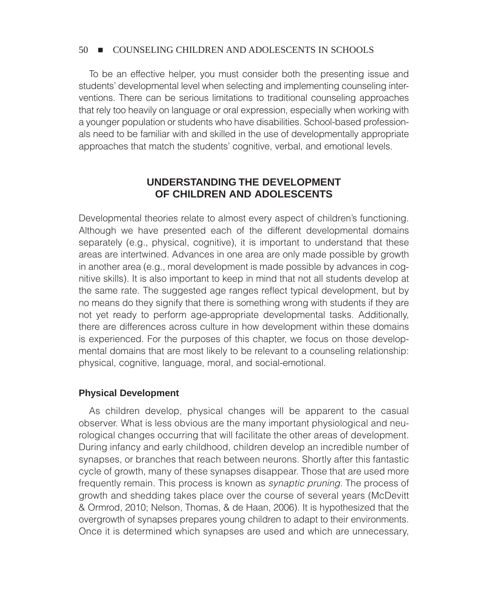To be an effective helper, you must consider both the presenting issue and students' developmental level when selecting and implementing counseling interventions. There can be serious limitations to traditional counseling approaches that rely too heavily on language or oral expression, especially when working with a younger population or students who have disabilities. School-based professionals need to be familiar with and skilled in the use of developmentally appropriate approaches that match the students' cognitive, verbal, and emotional levels.

## **UNDERSTANDING THE DEVELOPMENT OF CHILDREN AND ADOLESCENTS**

Developmental theories relate to almost every aspect of children's functioning. Although we have presented each of the different developmental domains separately (e.g., physical, cognitive), it is important to understand that these areas are intertwined. Advances in one area are only made possible by growth in another area (e.g., moral development is made possible by advances in cognitive skills). It is also important to keep in mind that not all students develop at the same rate. The suggested age ranges reflect typical development, but by no means do they signify that there is something wrong with students if they are not yet ready to perform age-appropriate developmental tasks. Additionally, there are differences across culture in how development within these domains is experienced. For the purposes of this chapter, we focus on those developmental domains that are most likely to be relevant to a counseling relationship: physical, cognitive, language, moral, and social-emotional.

#### **Physical Development**

As children develop, physical changes will be apparent to the casual observer. What is less obvious are the many important physiological and neurological changes occurring that will facilitate the other areas of development. During infancy and early childhood, children develop an incredible number of synapses, or branches that reach between neurons. Shortly after this fantastic cycle of growth, many of these synapses disappear. Those that are used more frequently remain. This process is known as *synaptic pruning.* The process of growth and shedding takes place over the course of several years (McDevitt & Ormrod, 2010; Nelson, Thomas, & de Haan, 2006). It is hypothesized that the overgrowth of synapses prepares young children to adapt to their environments. Once it is determined which synapses are used and which are unnecessary,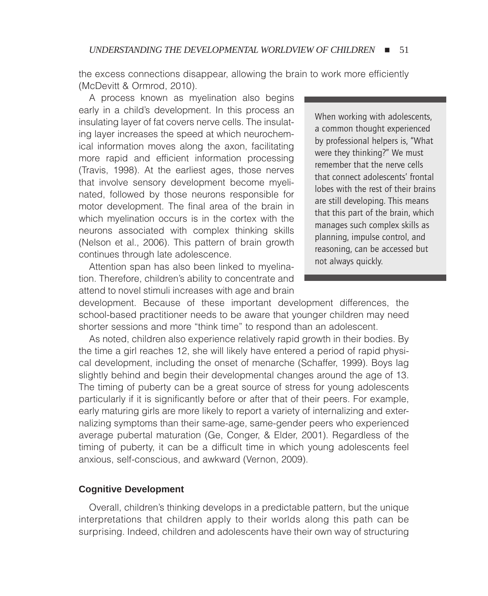the excess connections disappear, allowing the brain to work more efficiently (McDevitt & Ormrod, 2010).

A process known as myelination also begins early in a child's development. In this process an insulating layer of fat covers nerve cells. The insulating layer increases the speed at which neurochemical information moves along the axon, facilitating more rapid and efficient information processing (Travis, 1998). At the earliest ages, those nerves that involve sensory development become myelinated, followed by those neurons responsible for motor development. The final area of the brain in which myelination occurs is in the cortex with the neurons associated with complex thinking skills (Nelson et al., 2006). This pattern of brain growth continues through late adolescence.

Attention span has also been linked to myelination. Therefore, children's ability to concentrate and attend to novel stimuli increases with age and brain

When working with adolescents, a common thought experienced by professional helpers is, "What were they thinking?" We must remember that the nerve cells that connect adolescents' frontal lobes with the rest of their brains are still developing. This means that this part of the brain, which manages such complex skills as planning, impulse control, and reasoning, can be accessed but not always quickly.

development. Because of these important development differences, the school-based practitioner needs to be aware that younger children may need shorter sessions and more "think time" to respond than an adolescent.

As noted, children also experience relatively rapid growth in their bodies. By the time a girl reaches 12, she will likely have entered a period of rapid physical development, including the onset of menarche (Schaffer, 1999). Boys lag slightly behind and begin their developmental changes around the age of 13. The timing of puberty can be a great source of stress for young adolescents particularly if it is significantly before or after that of their peers. For example, early maturing girls are more likely to report a variety of internalizing and externalizing symptoms than their same-age, same-gender peers who experienced average pubertal maturation (Ge, Conger, & Elder, 2001). Regardless of the timing of puberty, it can be a difficult time in which young adolescents feel anxious, self-conscious, and awkward (Vernon, 2009).

#### **Cognitive Development**

Overall, children's thinking develops in a predictable pattern, but the unique interpretations that children apply to their worlds along this path can be surprising. Indeed, children and adolescents have their own way of structuring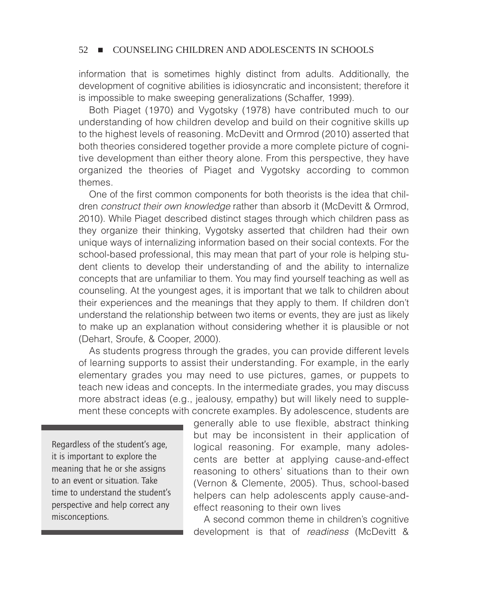information that is sometimes highly distinct from adults. Additionally, the development of cognitive abilities is idiosyncratic and inconsistent; therefore it is impossible to make sweeping generalizations (Schaffer, 1999).

Both Piaget (1970) and Vygotsky (1978) have contributed much to our understanding of how children develop and build on their cognitive skills up to the highest levels of reasoning. McDevitt and Ormrod (2010) asserted that both theories considered together provide a more complete picture of cognitive development than either theory alone. From this perspective, they have organized the theories of Piaget and Vygotsky according to common themes.

One of the first common components for both theorists is the idea that children *construct their own knowledge* rather than absorb it (McDevitt & Ormrod, 2010). While Piaget described distinct stages through which children pass as they organize their thinking, Vygotsky asserted that children had their own unique ways of internalizing information based on their social contexts. For the school-based professional, this may mean that part of your role is helping student clients to develop their understanding of and the ability to internalize concepts that are unfamiliar to them. You may find yourself teaching as well as counseling. At the youngest ages, it is important that we talk to children about their experiences and the meanings that they apply to them. If children don't understand the relationship between two items or events, they are just as likely to make up an explanation without considering whether it is plausible or not (Dehart, Sroufe, & Cooper, 2000).

As students progress through the grades, you can provide different levels of learning supports to assist their understanding. For example, in the early elementary grades you may need to use pictures, games, or puppets to teach new ideas and concepts. In the intermediate grades, you may discuss more abstract ideas (e.g., jealousy, empathy) but will likely need to supplement these concepts with concrete examples. By adolescence, students are

Regardless of the student's age, it is important to explore the meaning that he or she assigns to an event or situation. Take time to understand the student's perspective and help correct any misconceptions.

generally able to use flexible, abstract thinking but may be inconsistent in their application of logical reasoning. For example, many adolescents are better at applying cause-and-effect reasoning to others' situations than to their own (Vernon & Clemente, 2005). Thus, school-based helpers can help adolescents apply cause-andeffect reasoning to their own lives

A second common theme in children's cognitive development is that of *readiness* (McDevitt &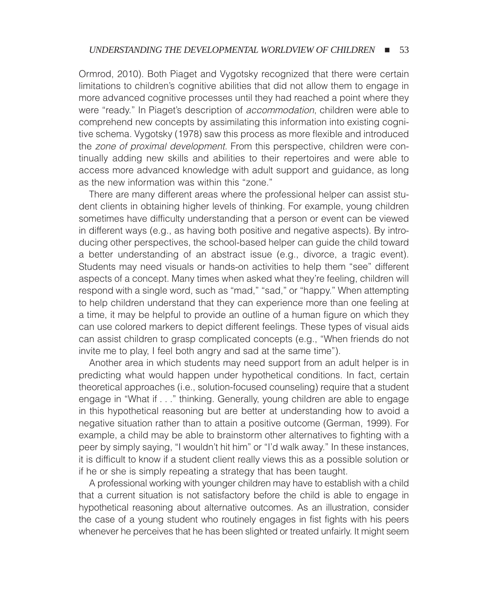Ormrod, 2010). Both Piaget and Vygotsky recognized that there were certain limitations to children's cognitive abilities that did not allow them to engage in more advanced cognitive processes until they had reached a point where they were "ready." In Piaget's description of *accommodation*, children were able to comprehend new concepts by assimilating this information into existing cognitive schema. Vygotsky (1978) saw this process as more flexible and introduced the *zone of proximal development.* From this perspective, children were continually adding new skills and abilities to their repertoires and were able to access more advanced knowledge with adult support and guidance, as long as the new information was within this "zone."

There are many different areas where the professional helper can assist student clients in obtaining higher levels of thinking. For example, young children sometimes have difficulty understanding that a person or event can be viewed in different ways (e.g., as having both positive and negative aspects). By introducing other perspectives, the school-based helper can guide the child toward a better understanding of an abstract issue (e.g., divorce, a tragic event). Students may need visuals or hands-on activities to help them "see" different aspects of a concept. Many times when asked what they're feeling, children will respond with a single word, such as "mad," "sad," or "happy." When attempting to help children understand that they can experience more than one feeling at a time, it may be helpful to provide an outline of a human figure on which they can use colored markers to depict different feelings. These types of visual aids can assist children to grasp complicated concepts (e.g., "When friends do not invite me to play, I feel both angry and sad at the same time").

Another area in which students may need support from an adult helper is in predicting what would happen under hypothetical conditions. In fact, certain theoretical approaches (i.e., solution-focused counseling) require that a student engage in "What if . . ." thinking. Generally, young children are able to engage in this hypothetical reasoning but are better at understanding how to avoid a negative situation rather than to attain a positive outcome (German, 1999). For example, a child may be able to brainstorm other alternatives to fighting with a peer by simply saying, "I wouldn't hit him" or "I'd walk away." In these instances, it is difficult to know if a student client really views this as a possible solution or if he or she is simply repeating a strategy that has been taught.

A professional working with younger children may have to establish with a child that a current situation is not satisfactory before the child is able to engage in hypothetical reasoning about alternative outcomes. As an illustration, consider the case of a young student who routinely engages in fist fights with his peers whenever he perceives that he has been slighted or treated unfairly. It might seem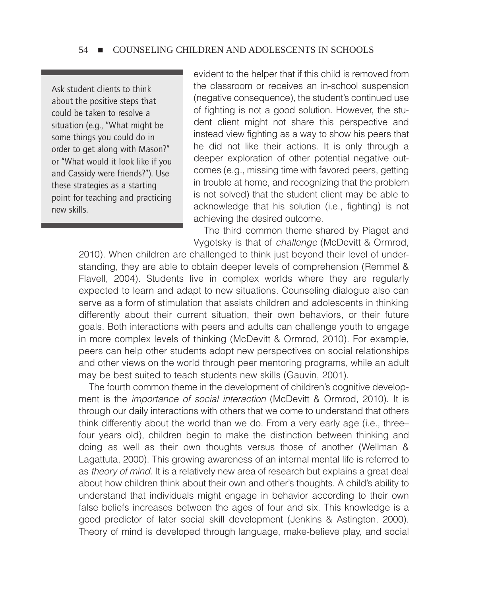Ask student clients to think about the positive steps that could be taken to resolve a situation (e.g., "What might be some things you could do in order to get along with Mason?" or "What would it look like if you and Cassidy were friends?"). Use these strategies as a starting point for teaching and practicing new skills.

evident to the helper that if this child is removed from the classroom or receives an in-school suspension (negative consequence), the student's continued use of fighting is not a good solution. However, the student client might not share this perspective and instead view fighting as a way to show his peers that he did not like their actions. It is only through a deeper exploration of other potential negative outcomes (e.g., missing time with favored peers, getting in trouble at home, and recognizing that the problem is not solved) that the student client may be able to acknowledge that his solution (i.e., fighting) is not achieving the desired outcome.

The third common theme shared by Piaget and Vygotsky is that of *challenge* (McDevitt & Ormrod,

2010). When children are challenged to think just beyond their level of understanding, they are able to obtain deeper levels of comprehension (Remmel & Flavell, 2004). Students live in complex worlds where they are regularly expected to learn and adapt to new situations. Counseling dialogue also can serve as a form of stimulation that assists children and adolescents in thinking differently about their current situation, their own behaviors, or their future goals. Both interactions with peers and adults can challenge youth to engage in more complex levels of thinking (McDevitt & Ormrod, 2010). For example, peers can help other students adopt new perspectives on social relationships and other views on the world through peer mentoring programs, while an adult may be best suited to teach students new skills (Gauvin, 2001).

The fourth common theme in the development of children's cognitive development is the *importance of social interaction* (McDevitt & Ormrod, 2010). It is through our daily interactions with others that we come to understand that others think differently about the world than we do. From a very early age (i.e., three– four years old), children begin to make the distinction between thinking and doing as well as their own thoughts versus those of another (Wellman & Lagattuta, 2000). This growing awareness of an internal mental life is referred to as *theory of mind.* It is a relatively new area of research but explains a great deal about how children think about their own and other's thoughts. A child's ability to understand that individuals might engage in behavior according to their own false beliefs increases between the ages of four and six. This knowledge is a good predictor of later social skill development (Jenkins & Astington, 2000). Theory of mind is developed through language, make-believe play, and social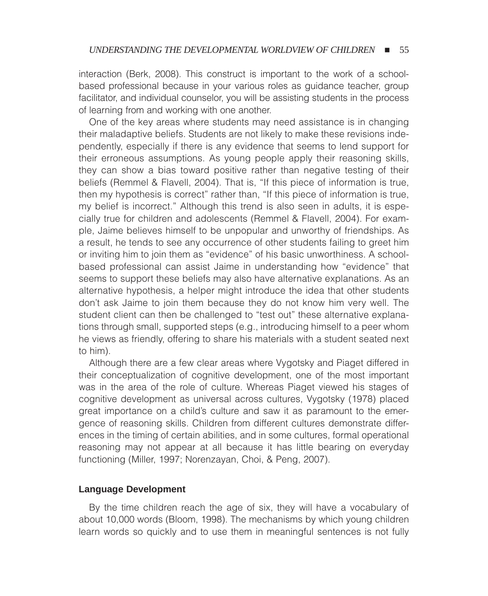interaction (Berk, 2008). This construct is important to the work of a schoolbased professional because in your various roles as guidance teacher, group facilitator, and individual counselor, you will be assisting students in the process of learning from and working with one another.

One of the key areas where students may need assistance is in changing their maladaptive beliefs. Students are not likely to make these revisions independently, especially if there is any evidence that seems to lend support for their erroneous assumptions. As young people apply their reasoning skills, they can show a bias toward positive rather than negative testing of their beliefs (Remmel & Flavell, 2004). That is, "If this piece of information is true, then my hypothesis is correct" rather than, "If this piece of information is true, my belief is incorrect." Although this trend is also seen in adults, it is especially true for children and adolescents (Remmel & Flavell, 2004). For example, Jaime believes himself to be unpopular and unworthy of friendships. As a result, he tends to see any occurrence of other students failing to greet him or inviting him to join them as "evidence" of his basic unworthiness. A schoolbased professional can assist Jaime in understanding how "evidence" that seems to support these beliefs may also have alternative explanations. As an alternative hypothesis, a helper might introduce the idea that other students don't ask Jaime to join them because they do not know him very well. The student client can then be challenged to "test out" these alternative explanations through small, supported steps (e.g., introducing himself to a peer whom he views as friendly, offering to share his materials with a student seated next to him).

Although there are a few clear areas where Vygotsky and Piaget differed in their conceptualization of cognitive development, one of the most important was in the area of the role of culture. Whereas Piaget viewed his stages of cognitive development as universal across cultures, Vygotsky (1978) placed great importance on a child's culture and saw it as paramount to the emergence of reasoning skills. Children from different cultures demonstrate differences in the timing of certain abilities, and in some cultures, formal operational reasoning may not appear at all because it has little bearing on everyday functioning (Miller, 1997; Norenzayan, Choi, & Peng, 2007).

#### **Language Development**

By the time children reach the age of six, they will have a vocabulary of about 10,000 words (Bloom, 1998). The mechanisms by which young children learn words so quickly and to use them in meaningful sentences is not fully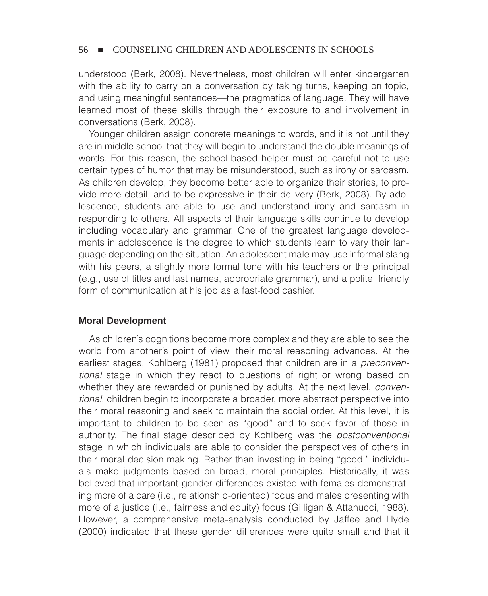understood (Berk, 2008). Nevertheless, most children will enter kindergarten with the ability to carry on a conversation by taking turns, keeping on topic, and using meaningful sentences—the pragmatics of language. They will have learned most of these skills through their exposure to and involvement in conversations (Berk, 2008).

Younger children assign concrete meanings to words, and it is not until they are in middle school that they will begin to understand the double meanings of words. For this reason, the school-based helper must be careful not to use certain types of humor that may be misunderstood, such as irony or sarcasm. As children develop, they become better able to organize their stories, to provide more detail, and to be expressive in their delivery (Berk, 2008). By adolescence, students are able to use and understand irony and sarcasm in responding to others. All aspects of their language skills continue to develop including vocabulary and grammar. One of the greatest language developments in adolescence is the degree to which students learn to vary their language depending on the situation. An adolescent male may use informal slang with his peers, a slightly more formal tone with his teachers or the principal (e.g., use of titles and last names, appropriate grammar), and a polite, friendly form of communication at his job as a fast-food cashier.

#### **Moral Development**

As children's cognitions become more complex and they are able to see the world from another's point of view, their moral reasoning advances. At the earliest stages, Kohlberg (1981) proposed that children are in a *preconventional* stage in which they react to questions of right or wrong based on whether they are rewarded or punished by adults. At the next level, *conventional*, children begin to incorporate a broader, more abstract perspective into their moral reasoning and seek to maintain the social order. At this level, it is important to children to be seen as "good" and to seek favor of those in authority. The final stage described by Kohlberg was the *postconventional* stage in which individuals are able to consider the perspectives of others in their moral decision making. Rather than investing in being "good," individuals make judgments based on broad, moral principles. Historically, it was believed that important gender differences existed with females demonstrating more of a care (i.e., relationship-oriented) focus and males presenting with more of a justice (i.e., fairness and equity) focus (Gilligan & Attanucci, 1988). However, a comprehensive meta-analysis conducted by Jaffee and Hyde (2000) indicated that these gender differences were quite small and that it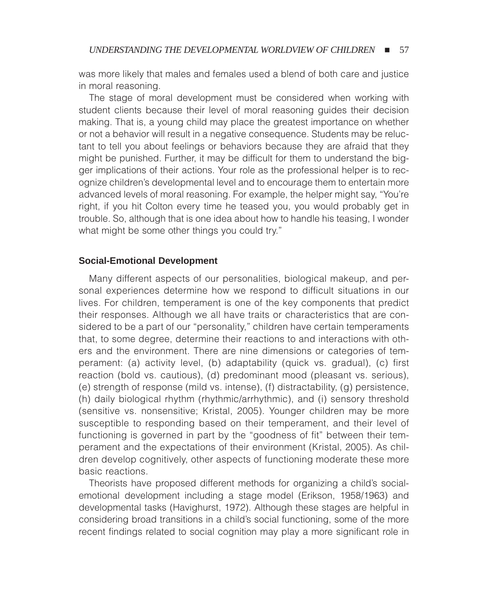was more likely that males and females used a blend of both care and justice in moral reasoning.

The stage of moral development must be considered when working with student clients because their level of moral reasoning guides their decision making. That is, a young child may place the greatest importance on whether or not a behavior will result in a negative consequence. Students may be reluctant to tell you about feelings or behaviors because they are afraid that they might be punished. Further, it may be difficult for them to understand the bigger implications of their actions. Your role as the professional helper is to recognize children's developmental level and to encourage them to entertain more advanced levels of moral reasoning. For example, the helper might say, "You're right, if you hit Colton every time he teased you, you would probably get in trouble. So, although that is one idea about how to handle his teasing, I wonder what might be some other things you could try."

#### **Social-Emotional Development**

Many different aspects of our personalities, biological makeup, and personal experiences determine how we respond to difficult situations in our lives. For children, temperament is one of the key components that predict their responses. Although we all have traits or characteristics that are considered to be a part of our "personality," children have certain temperaments that, to some degree, determine their reactions to and interactions with others and the environment. There are nine dimensions or categories of temperament: (a) activity level, (b) adaptability (quick vs. gradual), (c) first reaction (bold vs. cautious), (d) predominant mood (pleasant vs. serious), (e) strength of response (mild vs. intense), (f) distractability, (g) persistence, (h) daily biological rhythm (rhythmic/arrhythmic), and (i) sensory threshold (sensitive vs. nonsensitive; Kristal, 2005). Younger children may be more susceptible to responding based on their temperament, and their level of functioning is governed in part by the "goodness of fit" between their temperament and the expectations of their environment (Kristal, 2005). As children develop cognitively, other aspects of functioning moderate these more basic reactions.

Theorists have proposed different methods for organizing a child's socialemotional development including a stage model (Erikson, 1958/1963) and developmental tasks (Havighurst, 1972). Although these stages are helpful in considering broad transitions in a child's social functioning, some of the more recent findings related to social cognition may play a more significant role in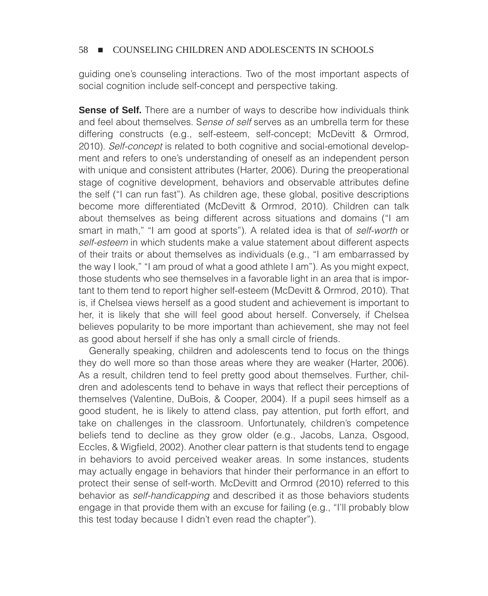guiding one's counseling interactions. Two of the most important aspects of social cognition include self-concept and perspective taking.

**Sense of Self.** There are a number of ways to describe how individuals think and feel about themselves. S*ense of self* serves as an umbrella term for these differing constructs (e.g., self-esteem, self-concept; McDevitt & Ormrod, 2010). *Self-concept* is related to both cognitive and social-emotional development and refers to one's understanding of oneself as an independent person with unique and consistent attributes (Harter, 2006). During the preoperational stage of cognitive development, behaviors and observable attributes define the self ("I can run fast"). As children age, these global, positive descriptions become more differentiated (McDevitt & Ormrod, 2010). Children can talk about themselves as being different across situations and domains ("I am smart in math," "I am good at sports"). A related idea is that of *self-worth* or *self-esteem* in which students make a value statement about different aspects of their traits or about themselves as individuals (e.g., "I am embarrassed by the way I look," "I am proud of what a good athlete I am"). As you might expect, those students who see themselves in a favorable light in an area that is important to them tend to report higher self-esteem (McDevitt & Ormrod, 2010). That is, if Chelsea views herself as a good student and achievement is important to her, it is likely that she will feel good about herself. Conversely, if Chelsea believes popularity to be more important than achievement, she may not feel as good about herself if she has only a small circle of friends.

Generally speaking, children and adolescents tend to focus on the things they do well more so than those areas where they are weaker (Harter, 2006). As a result, children tend to feel pretty good about themselves. Further, children and adolescents tend to behave in ways that reflect their perceptions of themselves (Valentine, DuBois, & Cooper, 2004). If a pupil sees himself as a good student, he is likely to attend class, pay attention, put forth effort, and take on challenges in the classroom. Unfortunately, children's competence beliefs tend to decline as they grow older (e.g., Jacobs, Lanza, Osgood, Eccles, & Wigfield, 2002). Another clear pattern is that students tend to engage in behaviors to avoid perceived weaker areas. In some instances, students may actually engage in behaviors that hinder their performance in an effort to protect their sense of self-worth. McDevitt and Ormrod (2010) referred to this behavior as *self-handicapping* and described it as those behaviors students engage in that provide them with an excuse for failing (e.g., "I'll probably blow this test today because I didn't even read the chapter").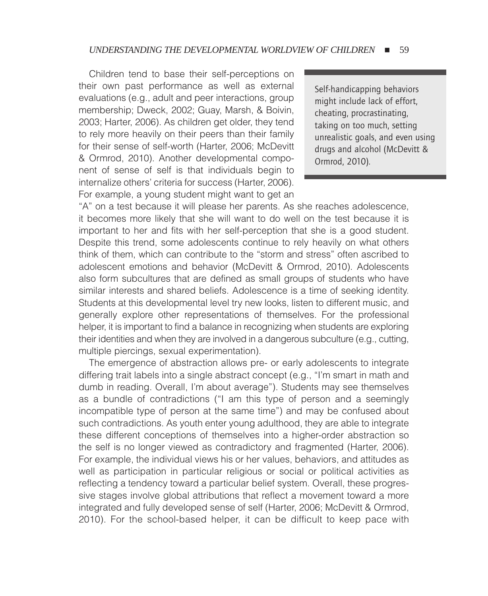Children tend to base their self-perceptions on their own past performance as well as external evaluations (e.g., adult and peer interactions, group membership; Dweck, 2002; Guay, Marsh, & Boivin, 2003; Harter, 2006). As children get older, they tend to rely more heavily on their peers than their family for their sense of self-worth (Harter, 2006; McDevitt & Ormrod, 2010). Another developmental component of sense of self is that individuals begin to internalize others' criteria for success (Harter, 2006). For example, a young student might want to get an

Self-handicapping behaviors might include lack of effort, cheating, procrastinating, taking on too much, setting unrealistic goals, and even using drugs and alcohol (McDevitt & Ormrod, 2010).

"A" on a test because it will please her parents. As she reaches adolescence, it becomes more likely that she will want to do well on the test because it is important to her and fits with her self-perception that she is a good student. Despite this trend, some adolescents continue to rely heavily on what others think of them, which can contribute to the "storm and stress" often ascribed to adolescent emotions and behavior (McDevitt & Ormrod, 2010). Adolescents also form subcultures that are defined as small groups of students who have similar interests and shared beliefs. Adolescence is a time of seeking identity. Students at this developmental level try new looks, listen to different music, and generally explore other representations of themselves. For the professional helper, it is important to find a balance in recognizing when students are exploring their identities and when they are involved in a dangerous subculture (e.g., cutting, multiple piercings, sexual experimentation).

The emergence of abstraction allows pre- or early adolescents to integrate differing trait labels into a single abstract concept (e.g., "I'm smart in math and dumb in reading. Overall, I'm about average"). Students may see themselves as a bundle of contradictions ("I am this type of person and a seemingly incompatible type of person at the same time") and may be confused about such contradictions. As youth enter young adulthood, they are able to integrate these different conceptions of themselves into a higher-order abstraction so the self is no longer viewed as contradictory and fragmented (Harter, 2006). For example, the individual views his or her values, behaviors, and attitudes as well as participation in particular religious or social or political activities as reflecting a tendency toward a particular belief system. Overall, these progressive stages involve global attributions that reflect a movement toward a more integrated and fully developed sense of self (Harter, 2006; McDevitt & Ormrod, 2010). For the school-based helper, it can be difficult to keep pace with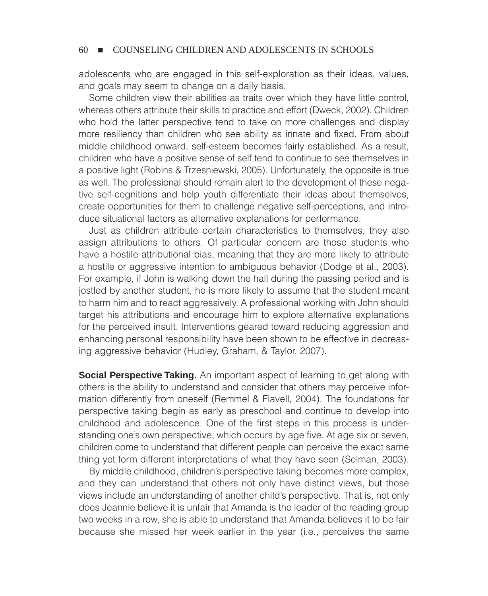adolescents who are engaged in this self-exploration as their ideas, values, and goals may seem to change on a daily basis.

Some children view their abilities as traits over which they have little control, whereas others attribute their skills to practice and effort (Dweck, 2002). Children who hold the latter perspective tend to take on more challenges and display more resiliency than children who see ability as innate and fixed. From about middle childhood onward, self-esteem becomes fairly established. As a result, children who have a positive sense of self tend to continue to see themselves in a positive light (Robins & Trzesniewski, 2005). Unfortunately, the opposite is true as well. The professional should remain alert to the development of these negative self-cognitions and help youth differentiate their ideas about themselves, create opportunities for them to challenge negative self-perceptions, and introduce situational factors as alternative explanations for performance.

Just as children attribute certain characteristics to themselves, they also assign attributions to others. Of particular concern are those students who have a hostile attributional bias, meaning that they are more likely to attribute a hostile or aggressive intention to ambiguous behavior (Dodge et al., 2003). For example, if John is walking down the hall during the passing period and is jostled by another student, he is more likely to assume that the student meant to harm him and to react aggressively. A professional working with John should target his attributions and encourage him to explore alternative explanations for the perceived insult. Interventions geared toward reducing aggression and enhancing personal responsibility have been shown to be effective in decreasing aggressive behavior (Hudley, Graham, & Taylor, 2007).

**Social Perspective Taking.** An important aspect of learning to get along with others is the ability to understand and consider that others may perceive information differently from oneself (Remmel & Flavell, 2004). The foundations for perspective taking begin as early as preschool and continue to develop into childhood and adolescence. One of the first steps in this process is understanding one's own perspective, which occurs by age five. At age six or seven, children come to understand that different people can perceive the exact same thing yet form different interpretations of what they have seen (Selman, 2003).

By middle childhood, children's perspective taking becomes more complex, and they can understand that others not only have distinct views, but those views include an understanding of another child's perspective. That is, not only does Jeannie believe it is unfair that Amanda is the leader of the reading group two weeks in a row, she is able to understand that Amanda believes it to be fair because she missed her week earlier in the year (i.e., perceives the same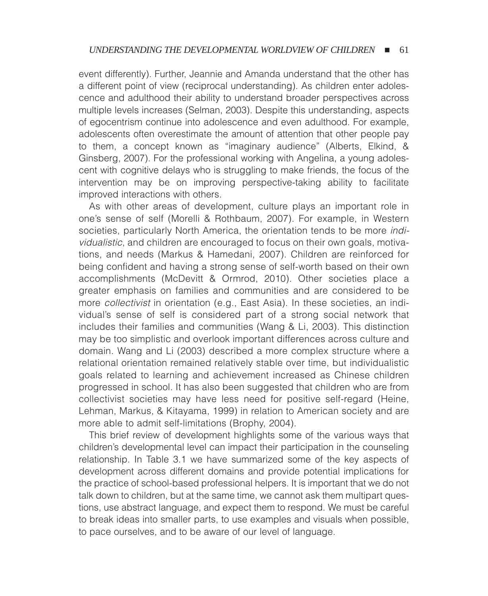event differently). Further, Jeannie and Amanda understand that the other has a different point of view (reciprocal understanding). As children enter adolescence and adulthood their ability to understand broader perspectives across multiple levels increases (Selman, 2003). Despite this understanding, aspects of egocentrism continue into adolescence and even adulthood. For example, adolescents often overestimate the amount of attention that other people pay to them, a concept known as "imaginary audience" (Alberts, Elkind, & Ginsberg, 2007). For the professional working with Angelina, a young adolescent with cognitive delays who is struggling to make friends, the focus of the intervention may be on improving perspective-taking ability to facilitate improved interactions with others.

As with other areas of development, culture plays an important role in one's sense of self (Morelli & Rothbaum, 2007). For example, in Western societies, particularly North America, the orientation tends to be more *individualistic*, and children are encouraged to focus on their own goals, motivations, and needs (Markus & Hamedani, 2007). Children are reinforced for being confident and having a strong sense of self-worth based on their own accomplishments (McDevitt & Ormrod, 2010). Other societies place a greater emphasis on families and communities and are considered to be more *collectivist* in orientation (e.g., East Asia). In these societies, an individual's sense of self is considered part of a strong social network that includes their families and communities (Wang & Li, 2003). This distinction may be too simplistic and overlook important differences across culture and domain. Wang and Li (2003) described a more complex structure where a relational orientation remained relatively stable over time, but individualistic goals related to learning and achievement increased as Chinese children progressed in school. It has also been suggested that children who are from collectivist societies may have less need for positive self-regard (Heine, Lehman, Markus, & Kitayama, 1999) in relation to American society and are more able to admit self-limitations (Brophy, 2004).

This brief review of development highlights some of the various ways that children's developmental level can impact their participation in the counseling relationship. In Table 3.1 we have summarized some of the key aspects of development across different domains and provide potential implications for the practice of school-based professional helpers. It is important that we do not talk down to children, but at the same time, we cannot ask them multipart questions, use abstract language, and expect them to respond. We must be careful to break ideas into smaller parts, to use examples and visuals when possible, to pace ourselves, and to be aware of our level of language.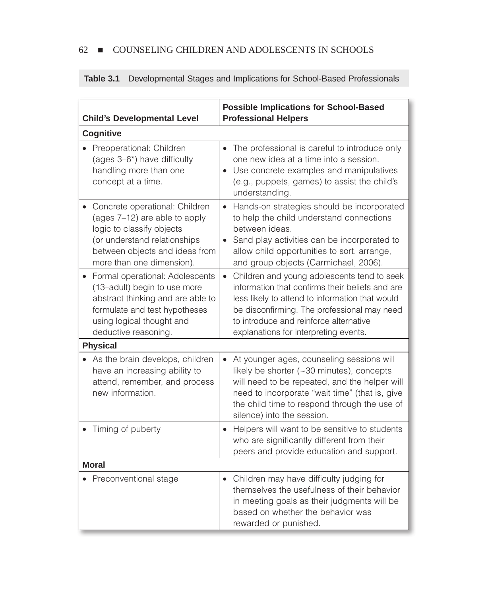| <b>Child's Developmental Level</b>                                                                                                                                                          | <b>Possible Implications for School-Based</b><br><b>Professional Helpers</b>                                                                                                                                                                                                        |  |
|---------------------------------------------------------------------------------------------------------------------------------------------------------------------------------------------|-------------------------------------------------------------------------------------------------------------------------------------------------------------------------------------------------------------------------------------------------------------------------------------|--|
| <b>Cognitive</b>                                                                                                                                                                            |                                                                                                                                                                                                                                                                                     |  |
| Preoperational: Children<br>(ages 3-6*) have difficulty<br>handling more than one<br>concept at a time.                                                                                     | The professional is careful to introduce only<br>$\bullet$<br>one new idea at a time into a session.<br>• Use concrete examples and manipulatives<br>(e.g., puppets, games) to assist the child's<br>understanding.                                                                 |  |
| Concrete operational: Children<br>(ages 7-12) are able to apply<br>logic to classify objects<br>(or understand relationships<br>between objects and ideas from<br>more than one dimension). | Hands-on strategies should be incorporated<br>$\bullet$<br>to help the child understand connections<br>between ideas.<br>• Sand play activities can be incorporated to<br>allow child opportunities to sort, arrange,<br>and group objects (Carmichael, 2006).                      |  |
| Formal operational: Adolescents<br>(13-adult) begin to use more<br>abstract thinking and are able to<br>formulate and test hypotheses<br>using logical thought and<br>deductive reasoning.  | Children and young adolescents tend to seek<br>information that confirms their beliefs and are<br>less likely to attend to information that would<br>be disconfirming. The professional may need<br>to introduce and reinforce alternative<br>explanations for interpreting events. |  |
| <b>Physical</b>                                                                                                                                                                             |                                                                                                                                                                                                                                                                                     |  |
| As the brain develops, children<br>have an increasing ability to<br>attend, remember, and process<br>new information.                                                                       | At younger ages, counseling sessions will<br>likely be shorter (~30 minutes), concepts<br>will need to be repeated, and the helper will<br>need to incorporate "wait time" (that is, give<br>the child time to respond through the use of<br>silence) into the session.             |  |
| Timing of puberty                                                                                                                                                                           | Helpers will want to be sensitive to students<br>$\bullet$<br>who are significantly different from their<br>peers and provide education and support.                                                                                                                                |  |
| <b>Moral</b>                                                                                                                                                                                |                                                                                                                                                                                                                                                                                     |  |
| Preconventional stage                                                                                                                                                                       | • Children may have difficulty judging for<br>themselves the usefulness of their behavior<br>in meeting goals as their judgments will be<br>based on whether the behavior was<br>rewarded or punished.                                                                              |  |

## **Table 3.1** Developmental Stages and Implications for School-Based Professionals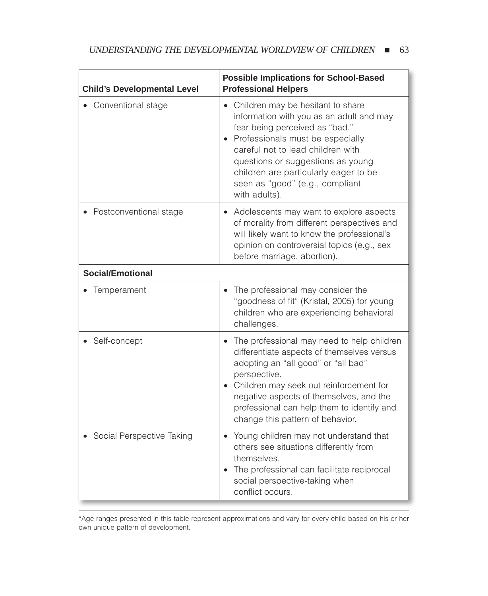| <b>Child's Developmental Level</b> | <b>Possible Implications for School-Based</b><br><b>Professional Helpers</b>                                                                                                                                                                                                                                                 |  |
|------------------------------------|------------------------------------------------------------------------------------------------------------------------------------------------------------------------------------------------------------------------------------------------------------------------------------------------------------------------------|--|
| Conventional stage                 | • Children may be hesitant to share<br>information with you as an adult and may<br>fear being perceived as "bad."<br>Professionals must be especially<br>careful not to lead children with<br>questions or suggestions as young<br>children are particularly eager to be<br>seen as "good" (e.g., compliant<br>with adults). |  |
| Postconventional stage             | Adolescents may want to explore aspects<br>$\bullet$<br>of morality from different perspectives and<br>will likely want to know the professional's<br>opinion on controversial topics (e.g., sex<br>before marriage, abortion).                                                                                              |  |
| <b>Social/Emotional</b>            |                                                                                                                                                                                                                                                                                                                              |  |
| Temperament                        | The professional may consider the<br>"goodness of fit" (Kristal, 2005) for young<br>children who are experiencing behavioral<br>challenges.                                                                                                                                                                                  |  |
| Self-concept                       | The professional may need to help children<br>differentiate aspects of themselves versus<br>adopting an "all good" or "all bad"<br>perspective.<br>• Children may seek out reinforcement for<br>negative aspects of themselves, and the<br>professional can help them to identify and<br>change this pattern of behavior.    |  |
| Social Perspective Taking          | Young children may not understand that<br>$\bullet$<br>others see situations differently from<br>themselves.<br>The professional can facilitate reciprocal<br>social perspective-taking when<br>conflict occurs.                                                                                                             |  |

\*Age ranges presented in this table represent approximations and vary for every child based on his or her own unique pattern of development.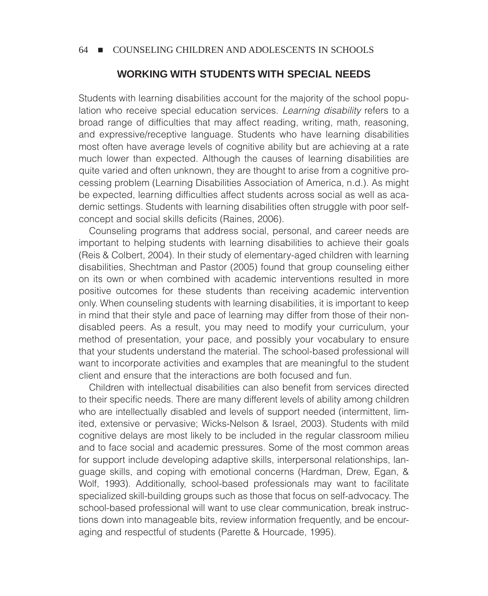## **WORKING WITH STUDENTS WITH SPECIAL NEEDS**

Students with learning disabilities account for the majority of the school population who receive special education services. *Learning disability* refers to a broad range of difficulties that may affect reading, writing, math, reasoning, and expressive/receptive language. Students who have learning disabilities most often have average levels of cognitive ability but are achieving at a rate much lower than expected. Although the causes of learning disabilities are quite varied and often unknown, they are thought to arise from a cognitive processing problem (Learning Disabilities Association of America, n.d.). As might be expected, learning difficulties affect students across social as well as academic settings. Students with learning disabilities often struggle with poor selfconcept and social skills deficits (Raines, 2006).

Counseling programs that address social, personal, and career needs are important to helping students with learning disabilities to achieve their goals (Reis & Colbert, 2004). In their study of elementary-aged children with learning disabilities, Shechtman and Pastor (2005) found that group counseling either on its own or when combined with academic interventions resulted in more positive outcomes for these students than receiving academic intervention only. When counseling students with learning disabilities, it is important to keep in mind that their style and pace of learning may differ from those of their nondisabled peers. As a result, you may need to modify your curriculum, your method of presentation, your pace, and possibly your vocabulary to ensure that your students understand the material. The school-based professional will want to incorporate activities and examples that are meaningful to the student client and ensure that the interactions are both focused and fun.

Children with intellectual disabilities can also benefit from services directed to their specific needs. There are many different levels of ability among children who are intellectually disabled and levels of support needed (intermittent, limited, extensive or pervasive; Wicks-Nelson & Israel, 2003). Students with mild cognitive delays are most likely to be included in the regular classroom milieu and to face social and academic pressures. Some of the most common areas for support include developing adaptive skills, interpersonal relationships, language skills, and coping with emotional concerns (Hardman, Drew, Egan, & Wolf, 1993). Additionally, school-based professionals may want to facilitate specialized skill-building groups such as those that focus on self-advocacy. The school-based professional will want to use clear communication, break instructions down into manageable bits, review information frequently, and be encouraging and respectful of students (Parette & Hourcade, 1995).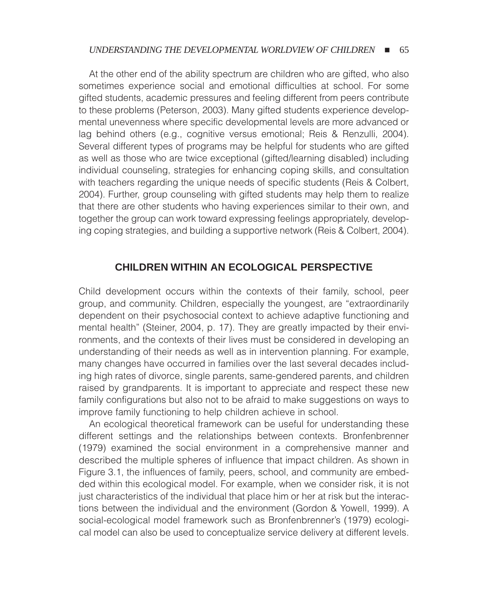#### UNDERSTANDING THE DEVELOPMENTAL WORLDVIEW OF CHILDREN **= 65**

At the other end of the ability spectrum are children who are gifted, who also sometimes experience social and emotional difficulties at school. For some gifted students, academic pressures and feeling different from peers contribute to these problems (Peterson, 2003). Many gifted students experience developmental unevenness where specific developmental levels are more advanced or lag behind others (e.g., cognitive versus emotional; Reis & Renzulli, 2004). Several different types of programs may be helpful for students who are gifted as well as those who are twice exceptional (gifted/learning disabled) including individual counseling, strategies for enhancing coping skills, and consultation with teachers regarding the unique needs of specific students (Reis & Colbert, 2004). Further, group counseling with gifted students may help them to realize that there are other students who having experiences similar to their own, and together the group can work toward expressing feelings appropriately, developing coping strategies, and building a supportive network (Reis & Colbert, 2004).

#### **CHILDREN WITHIN AN ECOLOGICAL PERSPECTIVE**

Child development occurs within the contexts of their family, school, peer group, and community. Children, especially the youngest, are "extraordinarily dependent on their psychosocial context to achieve adaptive functioning and mental health" (Steiner, 2004, p. 17). They are greatly impacted by their environments, and the contexts of their lives must be considered in developing an understanding of their needs as well as in intervention planning. For example, many changes have occurred in families over the last several decades including high rates of divorce, single parents, same-gendered parents, and children raised by grandparents. It is important to appreciate and respect these new family configurations but also not to be afraid to make suggestions on ways to improve family functioning to help children achieve in school.

An ecological theoretical framework can be useful for understanding these different settings and the relationships between contexts. Bronfenbrenner (1979) examined the social environment in a comprehensive manner and described the multiple spheres of influence that impact children. As shown in Figure 3.1, the influences of family, peers, school, and community are embedded within this ecological model. For example, when we consider risk, it is not just characteristics of the individual that place him or her at risk but the interactions between the individual and the environment (Gordon & Yowell, 1999). A social-ecological model framework such as Bronfenbrenner's (1979) ecological model can also be used to conceptualize service delivery at different levels.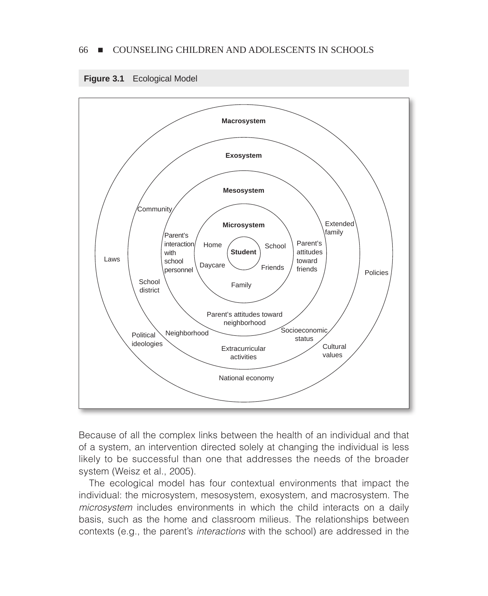



Because of all the complex links between the health of an individual and that of a system, an intervention directed solely at changing the individual is less likely to be successful than one that addresses the needs of the broader system (Weisz et al., 2005).

The ecological model has four contextual environments that impact the individual: the microsystem, mesosystem, exosystem, and macrosystem. The *microsystem* includes environments in which the child interacts on a daily basis, such as the home and classroom milieus. The relationships between contexts (e.g., the parent's *interactions* with the school) are addressed in the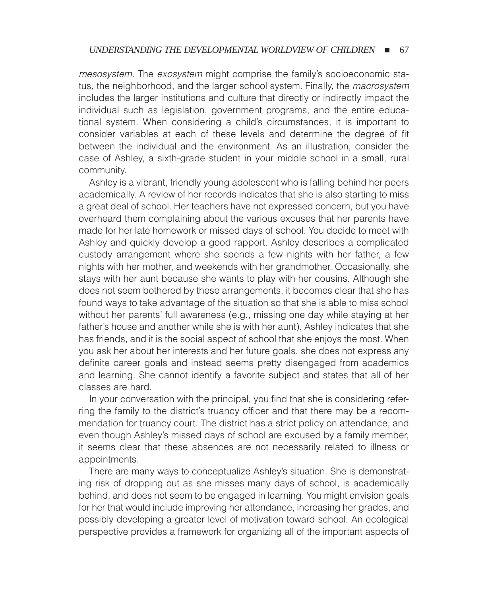*mesosystem.* The *exosystem* might comprise the family's socioeconomic status, the neighborhood, and the larger school system. Finally, the *macrosystem* includes the larger institutions and culture that directly or indirectly impact the individual such as legislation, government programs, and the entire educational system. When considering a child's circumstances, it is important to consider variables at each of these levels and determine the degree of fit between the individual and the environment. As an illustration, consider the case of Ashley, a sixth-grade student in your middle school in a small, rural community.

Ashley is a vibrant, friendly young adolescent who is falling behind her peers academically. A review of her records indicates that she is also starting to miss a great deal of school. Her teachers have not expressed concern, but you have overheard them complaining about the various excuses that her parents have made for her late homework or missed days of school. You decide to meet with Ashley and quickly develop a good rapport. Ashley describes a complicated custody arrangement where she spends a few nights with her father, a few nights with her mother, and weekends with her grandmother. Occasionally, she stays with her aunt because she wants to play with her cousins. Although she does not seem bothered by these arrangements, it becomes clear that she has found ways to take advantage of the situation so that she is able to miss school without her parents' full awareness (e.g., missing one day while staying at her father's house and another while she is with her aunt). Ashley indicates that she has friends, and it is the social aspect of school that she enjoys the most. When you ask her about her interests and her future goals, she does not express any definite career goals and instead seems pretty disengaged from academics and learning. She cannot identify a favorite subject and states that all of her classes are hard.

In your conversation with the principal, you find that she is considering referring the family to the district's truancy officer and that there may be a recommendation for truancy court. The district has a strict policy on attendance, and even though Ashley's missed days of school are excused by a family member, it seems clear that these absences are not necessarily related to illness or appointments.

There are many ways to conceptualize Ashley's situation. She is demonstrating risk of dropping out as she misses many days of school, is academically behind, and does not seem to be engaged in learning. You might envision goals for her that would include improving her attendance, increasing her grades, and possibly developing a greater level of motivation toward school. An ecological perspective provides a framework for organizing all of the important aspects of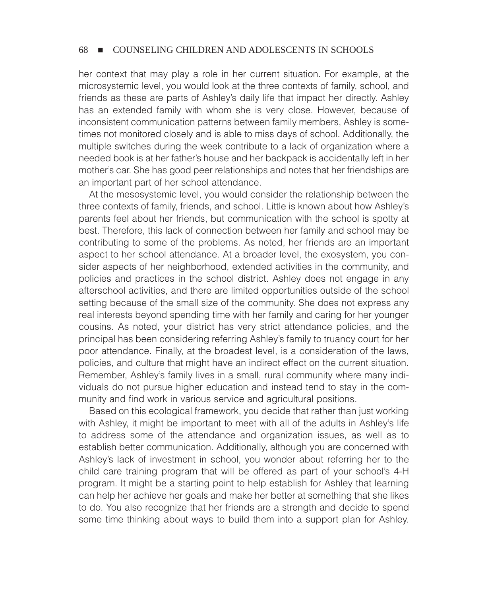her context that may play a role in her current situation. For example, at the microsystemic level, you would look at the three contexts of family, school, and friends as these are parts of Ashley's daily life that impact her directly. Ashley has an extended family with whom she is very close. However, because of inconsistent communication patterns between family members, Ashley is sometimes not monitored closely and is able to miss days of school. Additionally, the multiple switches during the week contribute to a lack of organization where a needed book is at her father's house and her backpack is accidentally left in her mother's car. She has good peer relationships and notes that her friendships are an important part of her school attendance.

At the mesosystemic level, you would consider the relationship between the three contexts of family, friends, and school. Little is known about how Ashley's parents feel about her friends, but communication with the school is spotty at best. Therefore, this lack of connection between her family and school may be contributing to some of the problems. As noted, her friends are an important aspect to her school attendance. At a broader level, the exosystem, you consider aspects of her neighborhood, extended activities in the community, and policies and practices in the school district. Ashley does not engage in any afterschool activities, and there are limited opportunities outside of the school setting because of the small size of the community. She does not express any real interests beyond spending time with her family and caring for her younger cousins. As noted, your district has very strict attendance policies, and the principal has been considering referring Ashley's family to truancy court for her poor attendance. Finally, at the broadest level, is a consideration of the laws, policies, and culture that might have an indirect effect on the current situation. Remember, Ashley's family lives in a small, rural community where many individuals do not pursue higher education and instead tend to stay in the community and find work in various service and agricultural positions.

Based on this ecological framework, you decide that rather than just working with Ashley, it might be important to meet with all of the adults in Ashley's life to address some of the attendance and organization issues, as well as to establish better communication. Additionally, although you are concerned with Ashley's lack of investment in school, you wonder about referring her to the child care training program that will be offered as part of your school's 4-H program. It might be a starting point to help establish for Ashley that learning can help her achieve her goals and make her better at something that she likes to do. You also recognize that her friends are a strength and decide to spend some time thinking about ways to build them into a support plan for Ashley.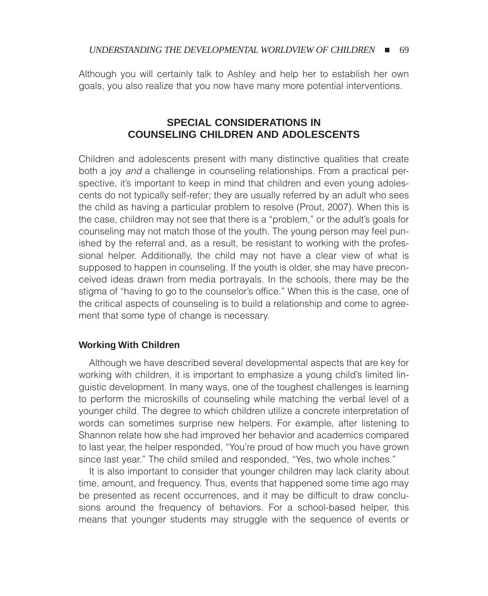Although you will certainly talk to Ashley and help her to establish her own goals, you also realize that you now have many more potential interventions.

## **SPECIAL CONSIDERATIONS IN COUNSELING CHILDREN AND ADOLESCENTS**

Children and adolescents present with many distinctive qualities that create both a joy *and* a challenge in counseling relationships. From a practical perspective, it's important to keep in mind that children and even young adolescents do not typically self-refer; they are usually referred by an adult who sees the child as having a particular problem to resolve (Prout, 2007). When this is the case, children may not see that there is a "problem," or the adult's goals for counseling may not match those of the youth. The young person may feel punished by the referral and, as a result, be resistant to working with the professional helper. Additionally, the child may not have a clear view of what is supposed to happen in counseling. If the youth is older, she may have preconceived ideas drawn from media portrayals. In the schools, there may be the stigma of "having to go to the counselor's office." When this is the case, one of the critical aspects of counseling is to build a relationship and come to agreement that some type of change is necessary.

## **Working With Children**

Although we have described several developmental aspects that are key for working with children, it is important to emphasize a young child's limited linguistic development. In many ways, one of the toughest challenges is learning to perform the microskills of counseling while matching the verbal level of a younger child. The degree to which children utilize a concrete interpretation of words can sometimes surprise new helpers. For example, after listening to Shannon relate how she had improved her behavior and academics compared to last year, the helper responded, "You're proud of how much you have grown since last year." The child smiled and responded, "Yes, two whole inches."

It is also important to consider that younger children may lack clarity about time, amount, and frequency. Thus, events that happened some time ago may be presented as recent occurrences, and it may be difficult to draw conclusions around the frequency of behaviors. For a school-based helper, this means that younger students may struggle with the sequence of events or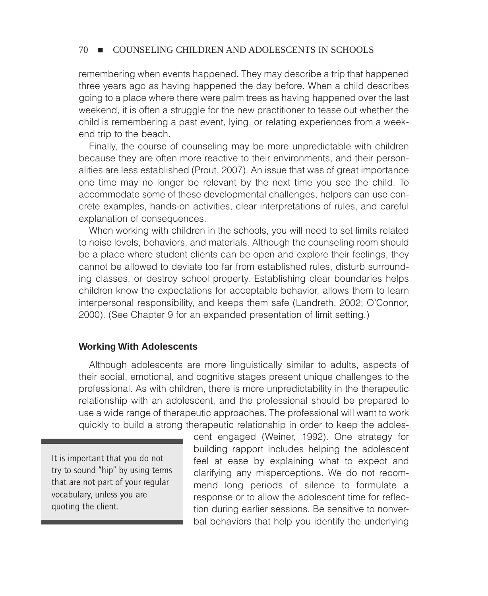remembering when events happened. They may describe a trip that happened three years ago as having happened the day before. When a child describes going to a place where there were palm trees as having happened over the last weekend, it is often a struggle for the new practitioner to tease out whether the child is remembering a past event, lying, or relating experiences from a weekend trip to the beach.

Finally, the course of counseling may be more unpredictable with children because they are often more reactive to their environments, and their personalities are less established (Prout, 2007). An issue that was of great importance one time may no longer be relevant by the next time you see the child. To accommodate some of these developmental challenges, helpers can use concrete examples, hands-on activities, clear interpretations of rules, and careful explanation of consequences.

When working with children in the schools, you will need to set limits related to noise levels, behaviors, and materials. Although the counseling room should be a place where student clients can be open and explore their feelings, they cannot be allowed to deviate too far from established rules, disturb surrounding classes, or destroy school property. Establishing clear boundaries helps children know the expectations for acceptable behavior, allows them to learn interpersonal responsibility, and keeps them safe (Landreth, 2002; O'Connor, 2000). (See Chapter 9 for an expanded presentation of limit setting.)

#### **Working With Adolescents**

Although adolescents are more linguistically similar to adults, aspects of their social, emotional, and cognitive stages present unique challenges to the professional. As with children, there is more unpredictability in the therapeutic relationship with an adolescent, and the professional should be prepared to use a wide range of therapeutic approaches. The professional will want to work quickly to build a strong therapeutic relationship in order to keep the adoles-

It is important that you do not try to sound "hip" by using terms that are not part of your regular vocabulary, unless you are quoting the client.

cent engaged (Weiner, 1992). One strategy for building rapport includes helping the adolescent feel at ease by explaining what to expect and clarifying any misperceptions. We do not recommend long periods of silence to formulate a response or to allow the adolescent time for reflection during earlier sessions. Be sensitive to nonverbal behaviors that help you identify the underlying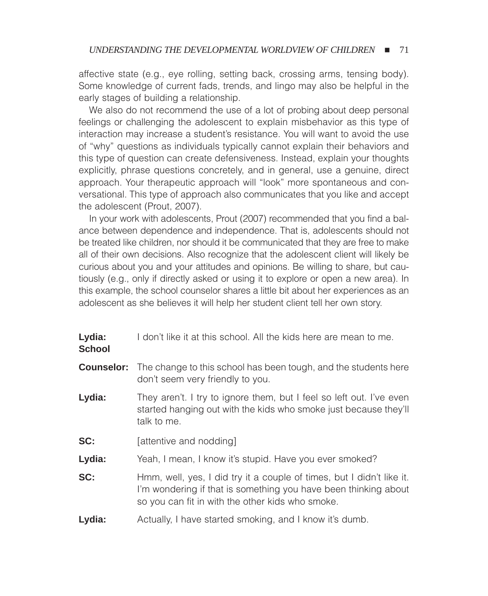affective state (e.g., eye rolling, setting back, crossing arms, tensing body). Some knowledge of current fads, trends, and lingo may also be helpful in the early stages of building a relationship.

We also do not recommend the use of a lot of probing about deep personal feelings or challenging the adolescent to explain misbehavior as this type of interaction may increase a student's resistance. You will want to avoid the use of "why" questions as individuals typically cannot explain their behaviors and this type of question can create defensiveness. Instead, explain your thoughts explicitly, phrase questions concretely, and in general, use a genuine, direct approach. Your therapeutic approach will "look" more spontaneous and conversational. This type of approach also communicates that you like and accept the adolescent (Prout, 2007).

In your work with adolescents, Prout (2007) recommended that you find a balance between dependence and independence. That is, adolescents should not be treated like children, nor should it be communicated that they are free to make all of their own decisions. Also recognize that the adolescent client will likely be curious about you and your attitudes and opinions. Be willing to share, but cautiously (e.g., only if directly asked or using it to explore or open a new area). In this example, the school counselor shares a little bit about her experiences as an adolescent as she believes it will help her student client tell her own story.

| Lydia: | I don't like it at this school. All the kids here are mean to me. |
|--------|-------------------------------------------------------------------|
|        |                                                                   |

#### **School**

**Counselor:** The change to this school has been tough, and the students here don't seem very friendly to you.

- **Lydia:** They aren't. I try to ignore them, but I feel so left out. I've even started hanging out with the kids who smoke just because they'll talk to me.
- **SC:** [attentive and nodding]
- Lydia: Yeah, I mean, I know it's stupid. Have you ever smoked?

**SC:** Hmm, well, yes, I did try it a couple of times, but I didn't like it. I'm wondering if that is something you have been thinking about so you can fit in with the other kids who smoke.

**Lydia:** Actually, I have started smoking, and I know it's dumb.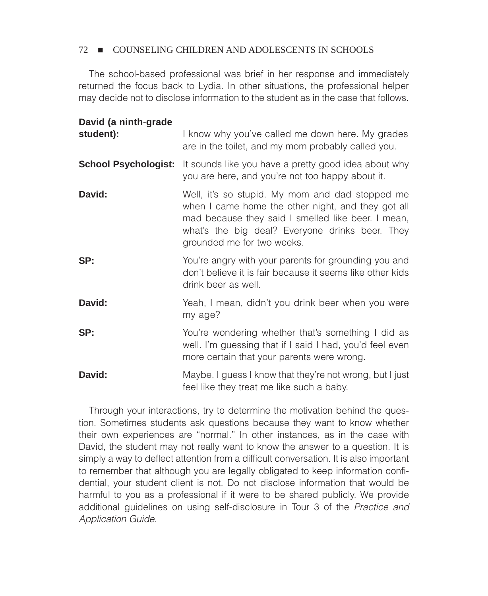The school-based professional was brief in her response and immediately returned the focus back to Lydia. In other situations, the professional helper may decide not to disclose information to the student as in the case that follows.

| David (a ninth-grade        |                                                                                                                                                                                                                                              |
|-----------------------------|----------------------------------------------------------------------------------------------------------------------------------------------------------------------------------------------------------------------------------------------|
| student):                   | I know why you've called me down here. My grades<br>are in the toilet, and my mom probably called you.                                                                                                                                       |
| <b>School Psychologist:</b> | It sounds like you have a pretty good idea about why<br>you are here, and you're not too happy about it.                                                                                                                                     |
| David:                      | Well, it's so stupid. My mom and dad stopped me<br>when I came home the other night, and they got all<br>mad because they said I smelled like beer. I mean,<br>what's the big deal? Everyone drinks beer. They<br>grounded me for two weeks. |
| SP:                         | You're angry with your parents for grounding you and<br>don't believe it is fair because it seems like other kids<br>drink beer as well.                                                                                                     |
| David:                      | Yeah, I mean, didn't you drink beer when you were<br>my age?                                                                                                                                                                                 |
| SP:                         | You're wondering whether that's something I did as<br>well. I'm guessing that if I said I had, you'd feel even<br>more certain that your parents were wrong.                                                                                 |
| David:                      | Maybe. I guess I know that they're not wrong, but I just<br>feel like they treat me like such a baby.                                                                                                                                        |

Through your interactions, try to determine the motivation behind the question. Sometimes students ask questions because they want to know whether their own experiences are "normal." In other instances, as in the case with David, the student may not really want to know the answer to a question. It is simply a way to deflect attention from a difficult conversation. It is also important to remember that although you are legally obligated to keep information confidential, your student client is not. Do not disclose information that would be harmful to you as a professional if it were to be shared publicly. We provide additional guidelines on using self-disclosure in Tour 3 of the *Practice and Application Guide.*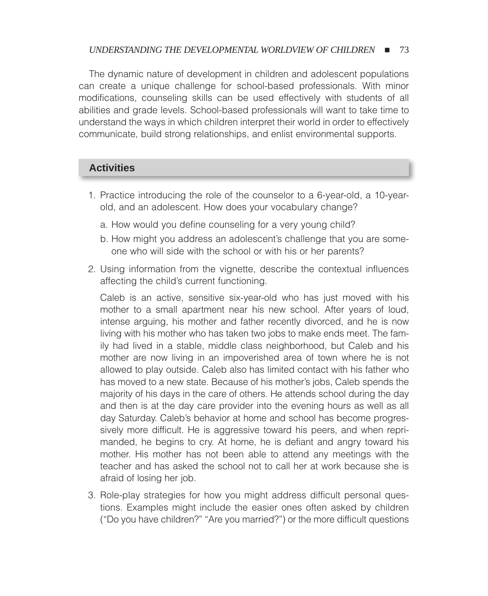#### *UNDERSTANDING THE DEVELOPMENTAL WORLDVIEW OF CHILDREN*  $\blacksquare$  73

The dynamic nature of development in children and adolescent populations can create a unique challenge for school-based professionals. With minor modifications, counseling skills can be used effectively with students of all abilities and grade levels. School-based professionals will want to take time to understand the ways in which children interpret their world in order to effectively communicate, build strong relationships, and enlist environmental supports.

## **Activities**

- 1. Practice introducing the role of the counselor to a 6-year-old, a 10-yearold, and an adolescent. How does your vocabulary change?
	- a. How would you define counseling for a very young child?
	- b. How might you address an adolescent's challenge that you are someone who will side with the school or with his or her parents?
- 2. Using information from the vignette, describe the contextual influences affecting the child's current functioning.

Caleb is an active, sensitive six-year-old who has just moved with his mother to a small apartment near his new school. After years of loud, intense arguing, his mother and father recently divorced, and he is now living with his mother who has taken two jobs to make ends meet. The family had lived in a stable, middle class neighborhood, but Caleb and his mother are now living in an impoverished area of town where he is not allowed to play outside. Caleb also has limited contact with his father who has moved to a new state. Because of his mother's jobs, Caleb spends the majority of his days in the care of others. He attends school during the day and then is at the day care provider into the evening hours as well as all day Saturday. Caleb's behavior at home and school has become progressively more difficult. He is aggressive toward his peers, and when reprimanded, he begins to cry. At home, he is defiant and angry toward his mother. His mother has not been able to attend any meetings with the teacher and has asked the school not to call her at work because she is afraid of losing her job.

3. Role-play strategies for how you might address difficult personal questions. Examples might include the easier ones often asked by children ("Do you have children?" "Are you married?") or the more difficult questions